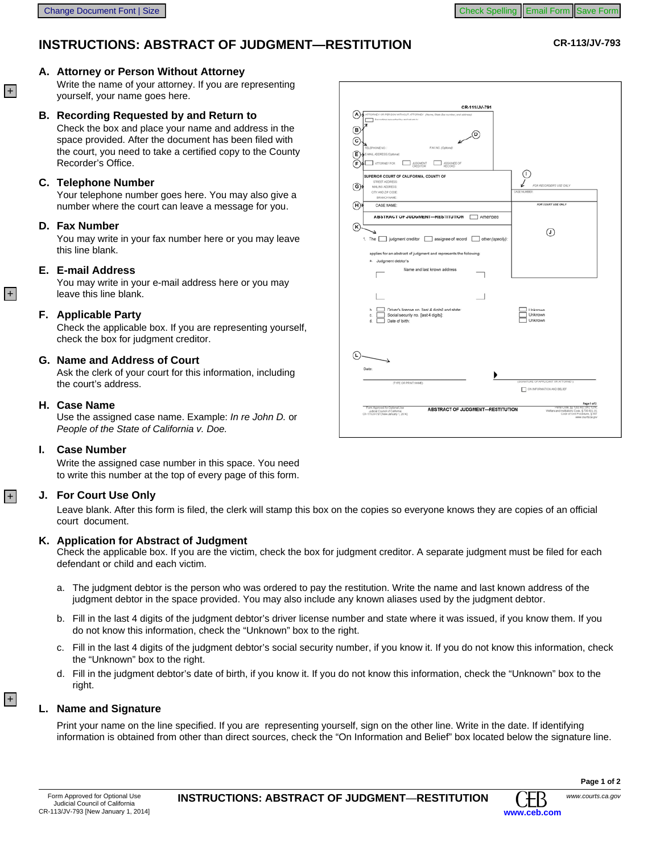# **INSTRUCTIONS: ABSTRACT OF JUDGMENT—RESTITUTION CR-113/JV-793**

# **A. Attorney or Person Without Attorney**

Write the name of your attorney. If you are representing yourself, your name goes here.

# **Recording Requested by and Return to B.**

Check the box and place your name and address in the space provided. After the document has been filed with the court, you need to take a certified copy to the County Recorder's Office.

## **Telephone Number C.**

Your telephone number goes here. You may also give a number where the court can leave a message for you.

### **Fax Number D.**

You may write in your fax number here or you may leave this line blank.

### **E-mail Address E.**

You may write in your e-mail address here or you may leave this line blank.

### **Applicable Party F.**

Check the applicable box. If you are representing yourself, check the box for judgment creditor.

#### **Name and Address of Court G.**

Ask the clerk of your court for this information, including the court's address.

#### **Case Name H.**

Use the assigned case name. Example: *In re John D.* or *People of the State of California v. Doe.*

#### **Case Number I.**

 $|+|$ 

 $|+|$ 

 $|+|$ 

Write the assigned case number in this space. You need to write this number at the top of every page of this form.

#### **For Court Use Only J.**

Leave blank. After this form is filed, the clerk will stamp this box on the copies so everyone knows they are copies of an official court document.

#### **Application for Abstract of Judgment K.**

Check the applicable box. If you are the victim, check the box for judgment creditor. A separate judgment must be filed for each defendant or child and each victim.

- a. The judgment debtor is the person who was ordered to pay the restitution. Write the name and last known address of the judgment debtor in the space provided. You may also include any known aliases used by the judgment debtor.
- b. Fill in the last 4 digits of the judgment debtor's driver license number and state where it was issued, if you know them. If you do not know this information, check the "Unknown" box to the right.
- c. Fill in the last 4 digits of the judgment debtor's social security number, if you know it. If you do not know this information, check the "Unknown" box to the right.
- d. Fill in the judgment debtor's date of birth, if you know it. If you do not know this information, check the "Unknown" box to the right.

#### **Name and Signature L.**

Print your name on the line specified. If you are representing yourself, sign on the other line. Write in the date. If identifying information is obtained from other than direct sources, check the "On Information and Belief" box located below the signature line.